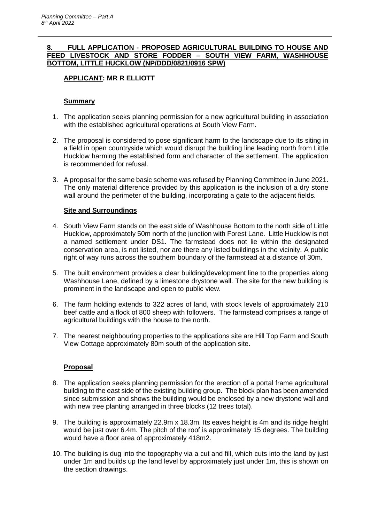### **8. FULL APPLICATION - PROPOSED AGRICULTURAL BUILDING TO HOUSE AND FEED LIVESTOCK AND STORE FODDER – SOUTH VIEW FARM, WASHHOUSE BOTTOM, LITTLE HUCKLOW (NP/DDD/0821/0916 SPW)**

# **APPLICANT: MR R ELLIOTT**

## **Summary**

- 1. The application seeks planning permission for a new agricultural building in association with the established agricultural operations at South View Farm.
- 2. The proposal is considered to pose significant harm to the landscape due to its siting in a field in open countryside which would disrupt the building line leading north from Little Hucklow harming the established form and character of the settlement. The application is recommended for refusal.
- 3. A proposal for the same basic scheme was refused by Planning Committee in June 2021. The only material difference provided by this application is the inclusion of a dry stone wall around the perimeter of the building, incorporating a gate to the adjacent fields.

## **Site and Surroundings**

- 4. South View Farm stands on the east side of Washhouse Bottom to the north side of Little Hucklow, approximately 50m north of the junction with Forest Lane. Little Hucklow is not a named settlement under DS1. The farmstead does not lie within the designated conservation area, is not listed, nor are there any listed buildings in the vicinity. A public right of way runs across the southern boundary of the farmstead at a distance of 30m.
- 5. The built environment provides a clear building/development line to the properties along Washhouse Lane, defined by a limestone drystone wall. The site for the new building is prominent in the landscape and open to public view.
- 6. The farm holding extends to 322 acres of land, with stock levels of approximately 210 beef cattle and a flock of 800 sheep with followers. The farmstead comprises a range of agricultural buildings with the house to the north.
- 7. The nearest neighbouring properties to the applications site are Hill Top Farm and South View Cottage approximately 80m south of the application site.

# **Proposal**

- 8. The application seeks planning permission for the erection of a portal frame agricultural building to the east side of the existing building group. The block plan has been amended since submission and shows the building would be enclosed by a new drystone wall and with new tree planting arranged in three blocks (12 trees total).
- 9. The building is approximately 22.9m x 18.3m. Its eaves height is 4m and its ridge height would be just over 6.4m. The pitch of the roof is approximately 15 degrees. The building would have a floor area of approximately 418m2.
- 10. The building is dug into the topography via a cut and fill, which cuts into the land by just under 1m and builds up the land level by approximately just under 1m, this is shown on the section drawings.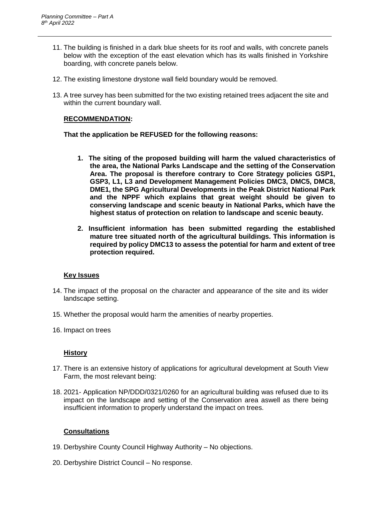- 11. The building is finished in a dark blue sheets for its roof and walls, with concrete panels below with the exception of the east elevation which has its walls finished in Yorkshire boarding, with concrete panels below.
- 12. The existing limestone drystone wall field boundary would be removed.
- 13. A tree survey has been submitted for the two existing retained trees adjacent the site and within the current boundary wall.

#### **RECOMMENDATION:**

**That the application be REFUSED for the following reasons:**

- **1. The siting of the proposed building will harm the valued characteristics of the area, the National Parks Landscape and the setting of the Conservation Area. The proposal is therefore contrary to Core Strategy policies GSP1, GSP3, L1, L3 and Development Management Policies DMC3, DMC5, DMC8, DME1, the SPG Agricultural Developments in the Peak District National Park and the NPPF which explains that great weight should be given to conserving landscape and scenic beauty in National Parks, which have the highest status of protection on relation to landscape and scenic beauty.**
- **2. Insufficient information has been submitted regarding the established mature tree situated north of the agricultural buildings. This information is required by policy DMC13 to assess the potential for harm and extent of tree protection required.**

#### **Key Issues**

- 14. The impact of the proposal on the character and appearance of the site and its wider landscape setting.
- 15. Whether the proposal would harm the amenities of nearby properties.
- 16. Impact on trees

#### **History**

- 17. There is an extensive history of applications for agricultural development at South View Farm, the most relevant being:
- 18. 2021- Application NP/DDD/0321/0260 for an agricultural building was refused due to its impact on the landscape and setting of the Conservation area aswell as there being insufficient information to properly understand the impact on trees.

### **Consultations**

- 19. Derbyshire County Council Highway Authority No objections.
- 20. Derbyshire District Council No response.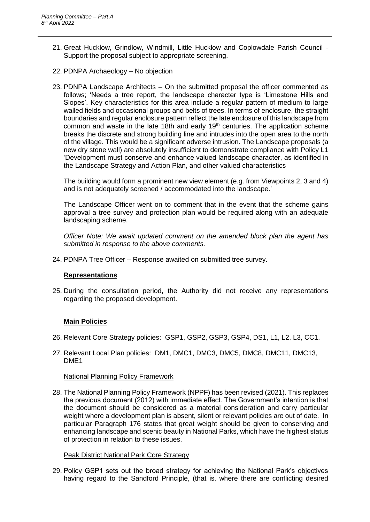- 21. Great Hucklow, Grindlow, Windmill, Little Hucklow and Coplowdale Parish Council Support the proposal subject to appropriate screening.
- 22. PDNPA Archaeology No objection
- 23. PDNPA Landscape Architects On the submitted proposal the officer commented as follows; 'Needs a tree report, the landscape character type is 'Limestone Hills and Slopes'. Key characteristics for this area include a regular pattern of medium to large walled fields and occasional groups and belts of trees. In terms of enclosure, the straight boundaries and regular enclosure pattern reflect the late enclosure of this landscape from common and waste in the late 18th and early 19<sup>th</sup> centuries. The application scheme breaks the discrete and strong building line and intrudes into the open area to the north of the village. This would be a significant adverse intrusion. The Landscape proposals (a new dry stone wall) are absolutely insufficient to demonstrate compliance with Policy L1 'Development must conserve and enhance valued landscape character, as identified in the Landscape Strategy and Action Plan, and other valued characteristics

The building would form a prominent new view element (e.g. from Viewpoints 2, 3 and 4) and is not adequately screened / accommodated into the landscape.'

The Landscape Officer went on to comment that in the event that the scheme gains approval a tree survey and protection plan would be required along with an adequate landscaping scheme.

*Officer Note: We await updated comment on the amended block plan the agent has submitted in response to the above comments.*

24. PDNPA Tree Officer – Response awaited on submitted tree survey.

### **Representations**

25. During the consultation period, the Authority did not receive any representations regarding the proposed development.

### **Main Policies**

- 26. Relevant Core Strategy policies: GSP1, GSP2, GSP3, GSP4, DS1, L1, L2, L3, CC1.
- 27. Relevant Local Plan policies: DM1, DMC1, DMC3, DMC5, DMC8, DMC11, DMC13, DME1

#### National Planning Policy Framework

28. The National Planning Policy Framework (NPPF) has been revised (2021). This replaces the previous document (2012) with immediate effect. The Government's intention is that the document should be considered as a material consideration and carry particular weight where a development plan is absent, silent or relevant policies are out of date. In particular Paragraph 176 states that great weight should be given to conserving and enhancing landscape and scenic beauty in National Parks, which have the highest status of protection in relation to these issues.

#### Peak District National Park Core Strategy

29. Policy GSP1 sets out the broad strategy for achieving the National Park's objectives having regard to the Sandford Principle, (that is, where there are conflicting desired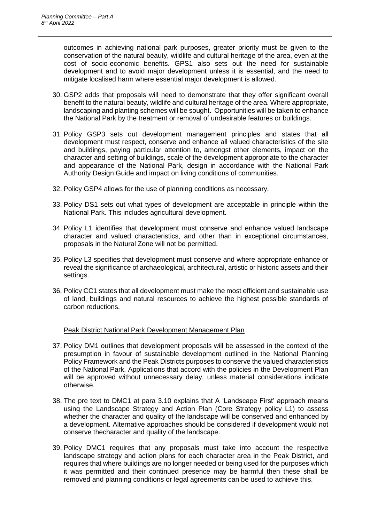outcomes in achieving national park purposes, greater priority must be given to the conservation of the natural beauty, wildlife and cultural heritage of the area, even at the cost of socio-economic benefits. GPS1 also sets out the need for sustainable development and to avoid major development unless it is essential, and the need to mitigate localised harm where essential major development is allowed.

- 30. GSP2 adds that proposals will need to demonstrate that they offer significant overall benefit to the natural beauty, wildlife and cultural heritage of the area. Where appropriate, landscaping and planting schemes will be sought. Opportunities will be taken to enhance the National Park by the treatment or removal of undesirable features or buildings.
- 31. Policy GSP3 sets out development management principles and states that all development must respect, conserve and enhance all valued characteristics of the site and buildings, paying particular attention to, amongst other elements, impact on the character and setting of buildings, scale of the development appropriate to the character and appearance of the National Park, design in accordance with the National Park Authority Design Guide and impact on living conditions of communities.
- 32. Policy GSP4 allows for the use of planning conditions as necessary.
- 33. Policy DS1 sets out what types of development are acceptable in principle within the National Park. This includes agricultural development.
- 34. Policy L1 identifies that development must conserve and enhance valued landscape character and valued characteristics, and other than in exceptional circumstances, proposals in the Natural Zone will not be permitted.
- 35. Policy L3 specifies that development must conserve and where appropriate enhance or reveal the significance of archaeological, architectural, artistic or historic assets and their settings.
- 36. Policy CC1 states that all development must make the most efficient and sustainable use of land, buildings and natural resources to achieve the highest possible standards of carbon reductions.

### Peak District National Park Development Management Plan

- 37. Policy DM1 outlines that development proposals will be assessed in the context of the presumption in favour of sustainable development outlined in the National Planning Policy Framework and the Peak Districts purposes to conserve the valued characteristics of the National Park. Applications that accord with the policies in the Development Plan will be approved without unnecessary delay, unless material considerations indicate otherwise.
- 38. The pre text to DMC1 at para 3.10 explains that A 'Landscape First' approach means using the Landscape Strategy and Action Plan (Core Strategy policy L1) to assess whether the character and quality of the landscape will be conserved and enhanced by a development. Alternative approaches should be considered if development would not conserve thecharacter and quality of the landscape.
- 39. Policy DMC1 requires that any proposals must take into account the respective landscape strategy and action plans for each character area in the Peak District, and requires that where buildings are no longer needed or being used for the purposes which it was permitted and their continued presence may be harmful then these shall be removed and planning conditions or legal agreements can be used to achieve this.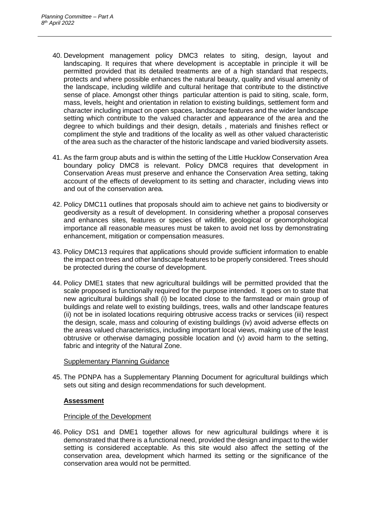- 40. Development management policy DMC3 relates to siting, design, layout and landscaping. It requires that where development is acceptable in principle it will be permitted provided that its detailed treatments are of a high standard that respects, protects and where possible enhances the natural beauty, quality and visual amenity of the landscape, including wildlife and cultural heritage that contribute to the distinctive sense of place. Amongst other things particular attention is paid to siting, scale, form, mass, levels, height and orientation in relation to existing buildings, settlement form and character including impact on open spaces, landscape features and the wider landscape setting which contribute to the valued character and appearance of the area and the degree to which buildings and their design, details , materials and finishes reflect or compliment the style and traditions of the locality as well as other valued characteristic of the area such as the character of the historic landscape and varied biodiversity assets.
- 41. As the farm group abuts and is within the setting of the Little Hucklow Conservation Area boundary policy DMC8 is relevant. Policy DMC8 requires that development in Conservation Areas must preserve and enhance the Conservation Area setting, taking account of the effects of development to its setting and character, including views into and out of the conservation area.
- 42. Policy DMC11 outlines that proposals should aim to achieve net gains to biodiversity or geodiversity as a result of development. In considering whether a proposal conserves and enhances sites, features or species of wildlife, geological or geomorphological importance all reasonable measures must be taken to avoid net loss by demonstrating enhancement, mitigation or compensation measures.
- 43. Policy DMC13 requires that applications should provide sufficient information to enable the impact on trees and other landscape features to be properly considered. Trees should be protected during the course of development.
- 44. Policy DME1 states that new agricultural buildings will be permitted provided that the scale proposed is functionally required for the purpose intended. It goes on to state that new agricultural buildings shall (i) be located close to the farmstead or main group of buildings and relate well to existing buildings, trees, walls and other landscape features (ii) not be in isolated locations requiring obtrusive access tracks or services (iii) respect the design, scale, mass and colouring of existing buildings (iv) avoid adverse effects on the areas valued characteristics, including important local views, making use of the least obtrusive or otherwise damaging possible location and (v) avoid harm to the setting, fabric and integrity of the Natural Zone.

### Supplementary Planning Guidance

45. The PDNPA has a Supplementary Planning Document for agricultural buildings which sets out siting and design recommendations for such development.

### **Assessment**

### Principle of the Development

46. Policy DS1 and DME1 together allows for new agricultural buildings where it is demonstrated that there is a functional need, provided the design and impact to the wider setting is considered acceptable. As this site would also affect the setting of the conservation area, development which harmed its setting or the significance of the conservation area would not be permitted.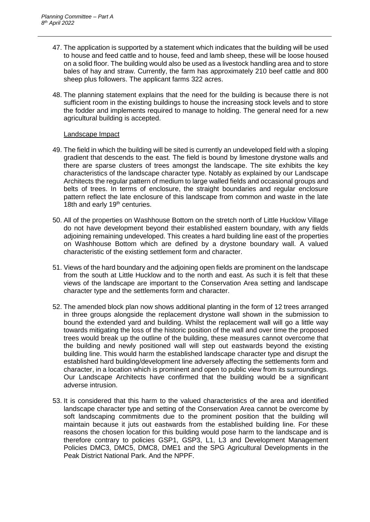- 47. The application is supported by a statement which indicates that the building will be used to house and feed cattle and to house, feed and lamb sheep, these will be loose housed on a solid floor. The building would also be used as a livestock handling area and to store bales of hay and straw. Currently, the farm has approximately 210 beef cattle and 800 sheep plus followers. The applicant farms 322 acres.
- 48. The planning statement explains that the need for the building is because there is not sufficient room in the existing buildings to house the increasing stock levels and to store the fodder and implements required to manage to holding. The general need for a new agricultural building is accepted.

#### Landscape Impact

- 49. The field in which the building will be sited is currently an undeveloped field with a sloping gradient that descends to the east. The field is bound by limestone drystone walls and there are sparse clusters of trees amongst the landscape. The site exhibits the key characteristics of the landscape character type. Notably as explained by our Landscape Architects the regular pattern of medium to large walled fields and occasional groups and belts of trees. In terms of enclosure, the straight boundaries and regular enclosure pattern reflect the late enclosure of this landscape from common and waste in the late 18th and early 19<sup>th</sup> centuries.
- 50. All of the properties on Washhouse Bottom on the stretch north of Little Hucklow Village do not have development beyond their established eastern boundary, with any fields adjoining remaining undeveloped. This creates a hard building line east of the properties on Washhouse Bottom which are defined by a drystone boundary wall. A valued characteristic of the existing settlement form and character.
- 51. Views of the hard boundary and the adjoining open fields are prominent on the landscape from the south at Little Hucklow and to the north and east. As such it is felt that these views of the landscape are important to the Conservation Area setting and landscape character type and the settlements form and character.
- 52. The amended block plan now shows additional planting in the form of 12 trees arranged in three groups alongside the replacement drystone wall shown in the submission to bound the extended yard and building. Whilst the replacement wall will go a little way towards mitigating the loss of the historic position of the wall and over time the proposed trees would break up the outline of the building, these measures cannot overcome that the building and newly positioned wall will step out eastwards beyond the existing building line. This would harm the established landscape character type and disrupt the established hard building/development line adversely affecting the settlements form and character, in a location which is prominent and open to public view from its surroundings. Our Landscape Architects have confirmed that the building would be a significant adverse intrusion.
- 53. It is considered that this harm to the valued characteristics of the area and identified landscape character type and setting of the Conservation Area cannot be overcome by soft landscaping commitments due to the prominent position that the building will maintain because it juts out eastwards from the established building line. For these reasons the chosen location for this building would pose harm to the landscape and is therefore contrary to policies GSP1, GSP3, L1, L3 and Development Management Policies DMC3, DMC5, DMC8, DME1 and the SPG Agricultural Developments in the Peak District National Park. And the NPPF.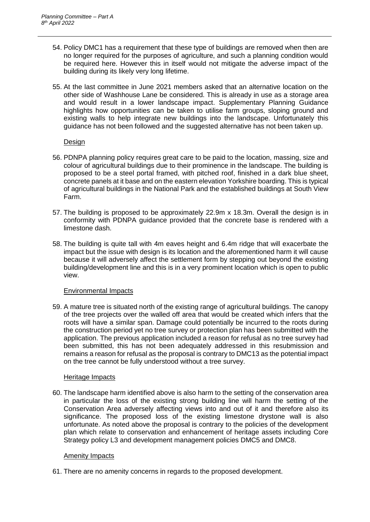- 54. Policy DMC1 has a requirement that these type of buildings are removed when then are no longer required for the purposes of agriculture, and such a planning condition would be required here. However this in itself would not mitigate the adverse impact of the building during its likely very long lifetime.
- 55. At the last committee in June 2021 members asked that an alternative location on the other side of Washhouse Lane be considered. This is already in use as a storage area and would result in a lower landscape impact. Supplementary Planning Guidance highlights how opportunities can be taken to utilise farm groups, sloping ground and existing walls to help integrate new buildings into the landscape. Unfortunately this guidance has not been followed and the suggested alternative has not been taken up.

### Design

- 56. PDNPA planning policy requires great care to be paid to the location, massing, size and colour of agricultural buildings due to their prominence in the landscape. The building is proposed to be a steel portal framed, with pitched roof, finished in a dark blue sheet, concrete panels at it base and on the eastern elevation Yorkshire boarding. This is typical of agricultural buildings in the National Park and the established buildings at South View Farm.
- 57. The building is proposed to be approximately 22.9m x 18.3m. Overall the design is in conformity with PDNPA guidance provided that the concrete base is rendered with a limestone dash.
- 58. The building is quite tall with 4m eaves height and 6.4m ridge that will exacerbate the impact but the issue with design is its location and the aforementioned harm it will cause because it will adversely affect the settlement form by stepping out beyond the existing building/development line and this is in a very prominent location which is open to public view.

## Environmental Impacts

59. A mature tree is situated north of the existing range of agricultural buildings. The canopy of the tree projects over the walled off area that would be created which infers that the roots will have a similar span. Damage could potentially be incurred to the roots during the construction period yet no tree survey or protection plan has been submitted with the application. The previous application included a reason for refusal as no tree survey had been submitted, this has not been adequately addressed in this resubmission and remains a reason for refusal as the proposal is contrary to DMC13 as the potential impact on the tree cannot be fully understood without a tree survey.

## Heritage Impacts

60. The landscape harm identified above is also harm to the setting of the conservation area in particular the loss of the existing strong building line will harm the setting of the Conservation Area adversely affecting views into and out of it and therefore also its significance. The proposed loss of the existing limestone drystone wall is also unfortunate. As noted above the proposal is contrary to the policies of the development plan which relate to conservation and enhancement of heritage assets including Core Strategy policy L3 and development management policies DMC5 and DMC8.

### **Amenity Impacts**

61. There are no amenity concerns in regards to the proposed development.